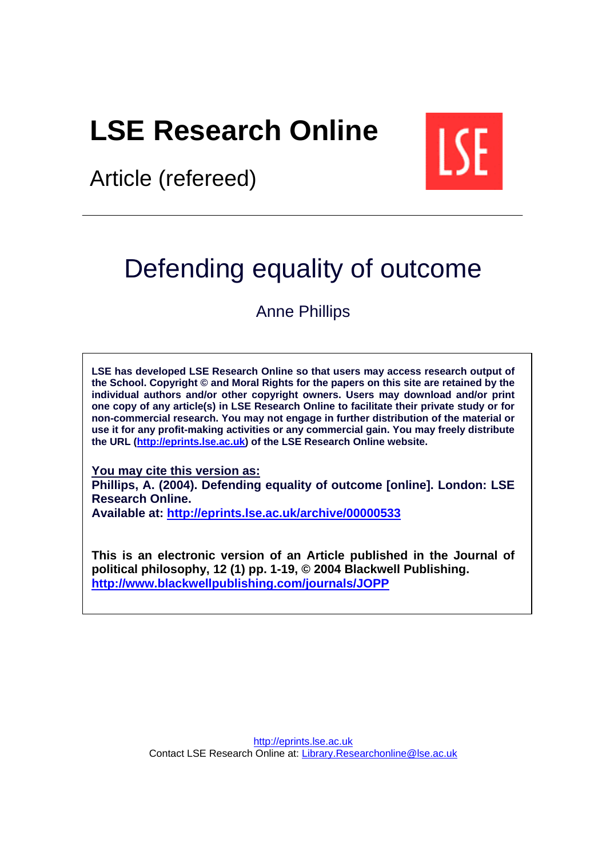# **LSE Research Online**



Article (refereed)

## Defending equality of outcome

Anne Phillips

**LSE has developed LSE Research Online so that users may access research output of the School. Copyright © and Moral Rights for the papers on this site are retained by the individual authors and/or other copyright owners. Users may download and/or print one copy of any article(s) in LSE Research Online to facilitate their private study or for non-commercial research. You may not engage in further distribution of the material or use it for any profit-making activities or any commercial gain. You may freely distribute the URL [\(http://eprints.lse.ac.uk\)](http://eprints.lse.ac.uk/) of the LSE Research Online website.** 

**You may cite this version as: Phillips, A. (2004). Defending equality of outcome [online]. London: LSE Research Online. Available at: <http://eprints.lse.ac.uk/archive/00000533>**

**This is an electronic version of an Article published in the Journal of political philosophy, 12 (1) pp. 1-19, © 2004 Blackwell Publishing. <http://www.blackwellpublishing.com/journals/JOPP>**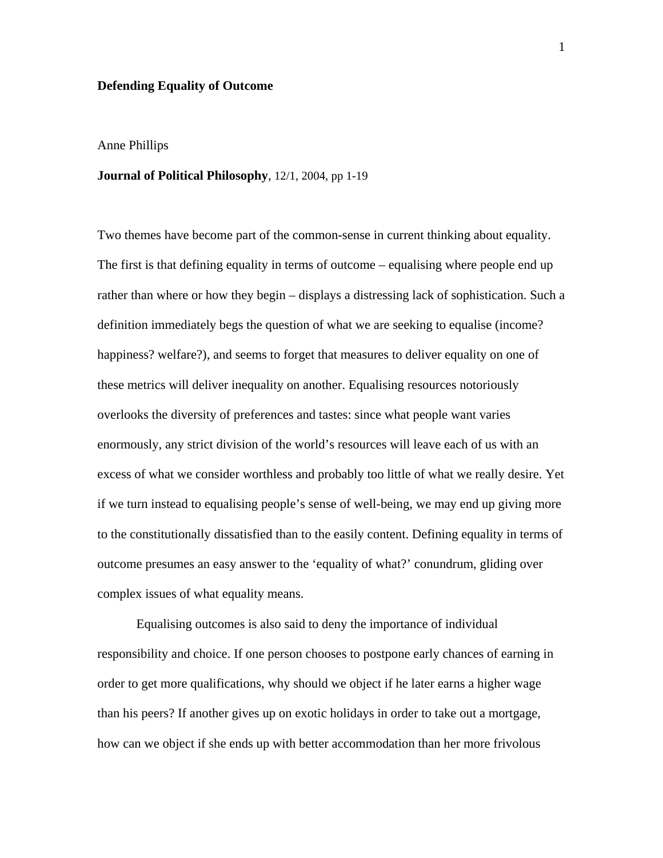### **Defending Equality of Outcome**

### Anne Phillips

#### **Journal of Political Philosophy**, 12/1, 2004, pp 1-19

Two themes have become part of the common-sense in current thinking about equality. The first is that defining equality in terms of outcome – equalising where people end up rather than where or how they begin – displays a distressing lack of sophistication. Such a definition immediately begs the question of what we are seeking to equalise (income? happiness? welfare?), and seems to forget that measures to deliver equality on one of these metrics will deliver inequality on another. Equalising resources notoriously overlooks the diversity of preferences and tastes: since what people want varies enormously, any strict division of the world's resources will leave each of us with an excess of what we consider worthless and probably too little of what we really desire. Yet if we turn instead to equalising people's sense of well-being, we may end up giving more to the constitutionally dissatisfied than to the easily content. Defining equality in terms of outcome presumes an easy answer to the 'equality of what?' conundrum, gliding over complex issues of what equality means.

Equalising outcomes is also said to deny the importance of individual responsibility and choice. If one person chooses to postpone early chances of earning in order to get more qualifications, why should we object if he later earns a higher wage than his peers? If another gives up on exotic holidays in order to take out a mortgage, how can we object if she ends up with better accommodation than her more frivolous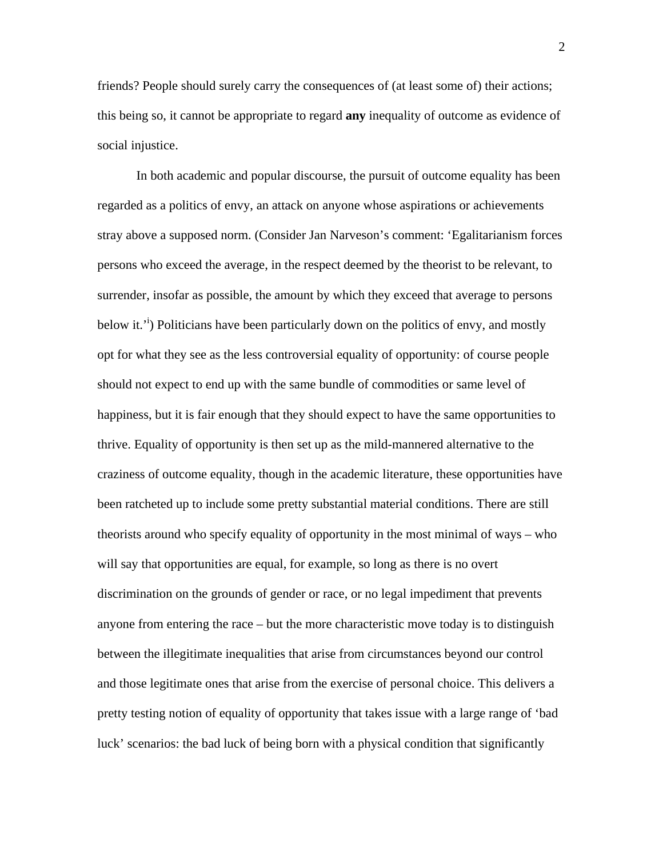friends? People should surely carry the consequences of (at least some of) their actions; this being so, it cannot be appropriate to regard **any** inequality of outcome as evidence of social injustice.

In both academic and popular discourse, the pursuit of outcome equality has been regarded as a politics of envy, an attack on anyone whose aspirations or achievements stray above a supposed norm. (Consider Jan Narveson's comment: 'Egalitarianism forces persons who exceed the average, in the respect deemed by the theorist to be relevant, to surrender, insofar as possible, the amount by which they exceed that average to persons below [i](#page-31-0)t.<sup>'i</sup>) Politicians have been particularly down on the politics of envy, and mostly opt for what they see as the less controversial equality of opportunity: of course people should not expect to end up with the same bundle of commodities or same level of happiness, but it is fair enough that they should expect to have the same opportunities to thrive. Equality of opportunity is then set up as the mild-mannered alternative to the craziness of outcome equality, though in the academic literature, these opportunities have been ratcheted up to include some pretty substantial material conditions. There are still theorists around who specify equality of opportunity in the most minimal of ways – who will say that opportunities are equal, for example, so long as there is no overt discrimination on the grounds of gender or race, or no legal impediment that prevents anyone from entering the race – but the more characteristic move today is to distinguish between the illegitimate inequalities that arise from circumstances beyond our control and those legitimate ones that arise from the exercise of personal choice. This delivers a pretty testing notion of equality of opportunity that takes issue with a large range of 'bad luck' scenarios: the bad luck of being born with a physical condition that significantly

2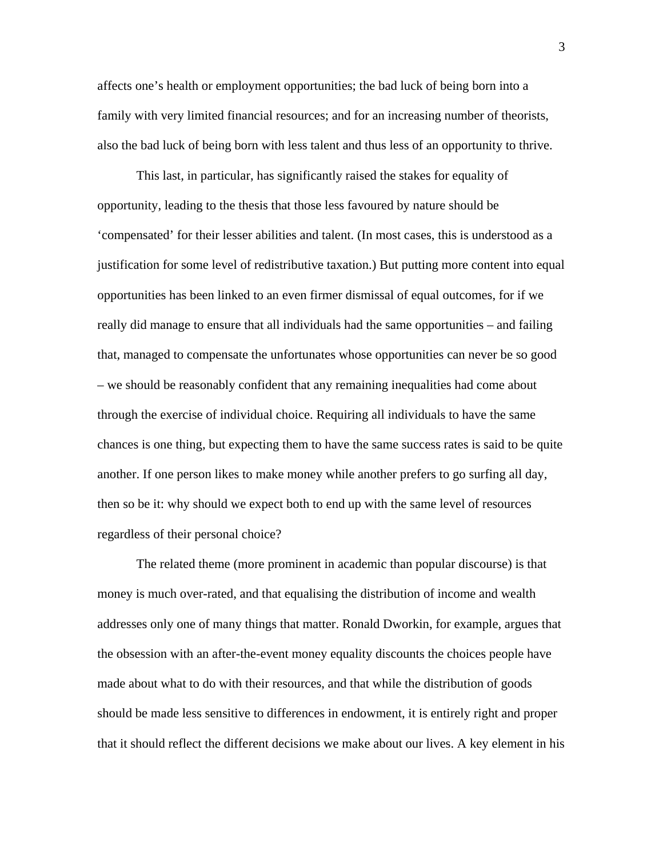affects one's health or employment opportunities; the bad luck of being born into a family with very limited financial resources; and for an increasing number of theorists, also the bad luck of being born with less talent and thus less of an opportunity to thrive.

This last, in particular, has significantly raised the stakes for equality of opportunity, leading to the thesis that those less favoured by nature should be 'compensated' for their lesser abilities and talent. (In most cases, this is understood as a justification for some level of redistributive taxation.) But putting more content into equal opportunities has been linked to an even firmer dismissal of equal outcomes, for if we really did manage to ensure that all individuals had the same opportunities – and failing that, managed to compensate the unfortunates whose opportunities can never be so good – we should be reasonably confident that any remaining inequalities had come about through the exercise of individual choice. Requiring all individuals to have the same chances is one thing, but expecting them to have the same success rates is said to be quite another. If one person likes to make money while another prefers to go surfing all day, then so be it: why should we expect both to end up with the same level of resources regardless of their personal choice?

The related theme (more prominent in academic than popular discourse) is that money is much over-rated, and that equalising the distribution of income and wealth addresses only one of many things that matter. Ronald Dworkin, for example, argues that the obsession with an after-the-event money equality discounts the choices people have made about what to do with their resources, and that while the distribution of goods should be made less sensitive to differences in endowment, it is entirely right and proper that it should reflect the different decisions we make about our lives. A key element in his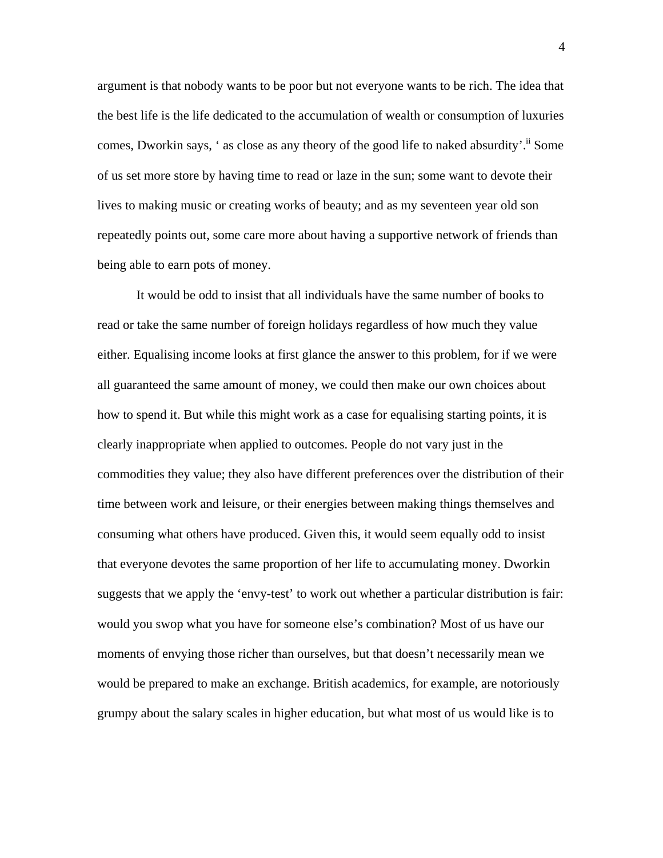argument is that nobody wants to be poor but not everyone wants to be rich. The idea that the best life is the life dedicated to the accumulation of wealth or consumption of luxuries comes, Dworkin says, ' as close as any theory of the good life to naked absurdity'.<sup>ii</sup> Some of us set more store by having time to read or laze in the sun; some want to devote their lives to making music or creating works of beauty; and as my seventeen year old son repeatedly points out, some care more about having a supportive network of friends than being able to earn pots of money.

It would be odd to insist that all individuals have the same number of books to read or take the same number of foreign holidays regardless of how much they value either. Equalising income looks at first glance the answer to this problem, for if we were all guaranteed the same amount of money, we could then make our own choices about how to spend it. But while this might work as a case for equalising starting points, it is clearly inappropriate when applied to outcomes. People do not vary just in the commodities they value; they also have different preferences over the distribution of their time between work and leisure, or their energies between making things themselves and consuming what others have produced. Given this, it would seem equally odd to insist that everyone devotes the same proportion of her life to accumulating money. Dworkin suggests that we apply the 'envy-test' to work out whether a particular distribution is fair: would you swop what you have for someone else's combination? Most of us have our moments of envying those richer than ourselves, but that doesn't necessarily mean we would be prepared to make an exchange. British academics, for example, are notoriously grumpy about the salary scales in higher education, but what most of us would like is to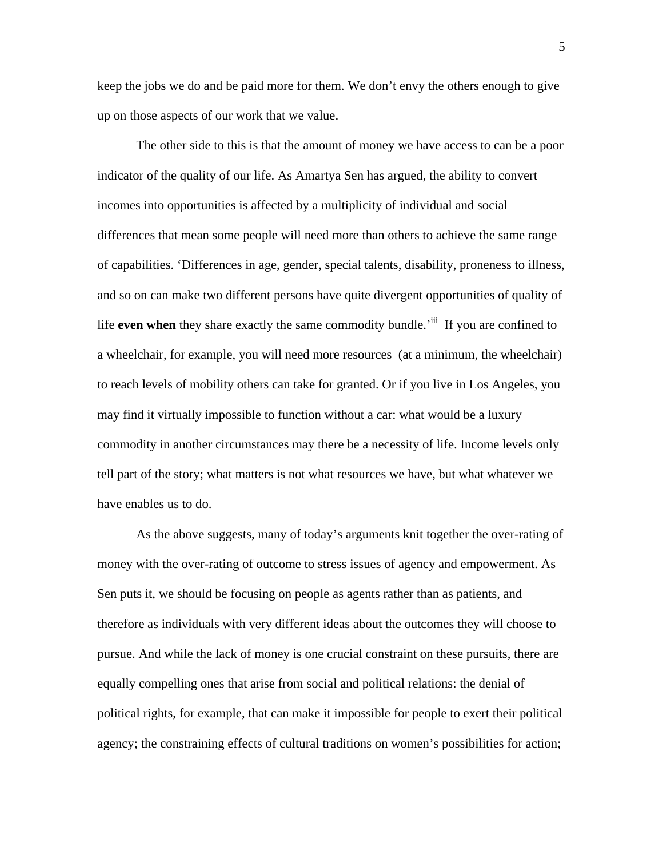keep the jobs we do and be paid more for them. We don't envy the others enough to give up on those aspects of our work that we value.

The other side to this is that the amount of money we have access to can be a poor indicator of the quality of our life. As Amartya Sen has argued, the ability to convert incomes into opportunities is affected by a multiplicity of individual and social differences that mean some people will need more than others to achieve the same range of capabilities. 'Differences in age, gender, special talents, disability, proneness to illness, and so on can make two different persons have quite divergent opportunities of quality of life **even when** they share exactly the same commodity bundle.<sup>'iii</sup> If you are confined to a wheelchair, for example, you will need more resources (at a minimum, the wheelchair) to reach levels of mobility others can take for granted. Or if you live in Los Angeles, you may find it virtually impossible to function without a car: what would be a luxury commodity in another circumstances may there be a necessity of life. Income levels only tell part of the story; what matters is not what resources we have, but what whatever we have enables us to do.

As the above suggests, many of today's arguments knit together the over-rating of money with the over-rating of outcome to stress issues of agency and empowerment. As Sen puts it, we should be focusing on people as agents rather than as patients, and therefore as individuals with very different ideas about the outcomes they will choose to pursue. And while the lack of money is one crucial constraint on these pursuits, there are equally compelling ones that arise from social and political relations: the denial of political rights, for example, that can make it impossible for people to exert their political agency; the constraining effects of cultural traditions on women's possibilities for action;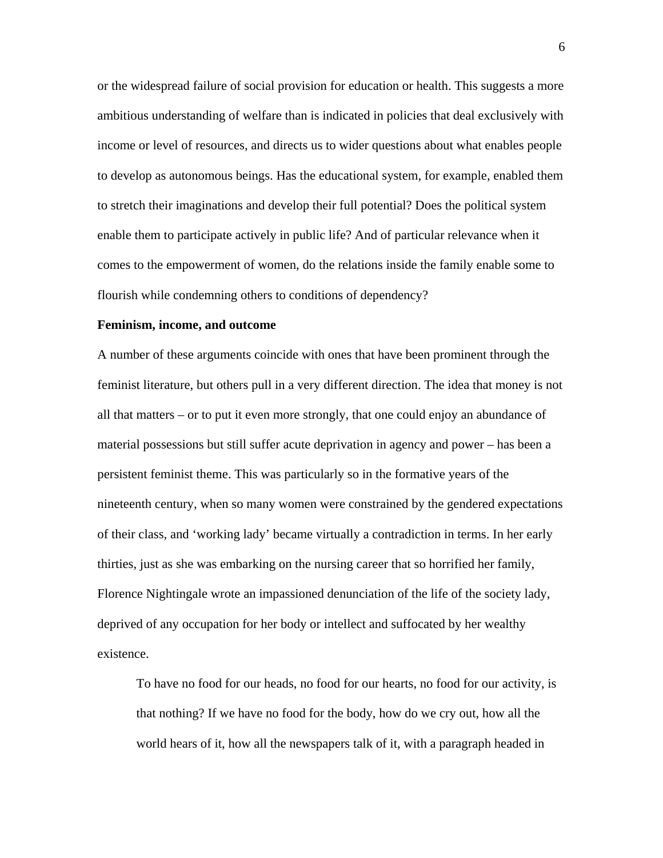or the widespread failure of social provision for education or health. This suggests a more ambitious understanding of welfare than is indicated in policies that deal exclusively with income or level of resources, and directs us to wider questions about what enables people to develop as autonomous beings. Has the educational system, for example, enabled them to stretch their imaginations and develop their full potential? Does the political system enable them to participate actively in public life? And of particular relevance when it comes to the empowerment of women, do the relations inside the family enable some to flourish while condemning others to conditions of dependency?

#### **Feminism, income, and outcome**

A number of these arguments coincide with ones that have been prominent through the feminist literature, but others pull in a very different direction. The idea that money is not all that matters – or to put it even more strongly, that one could enjoy an abundance of material possessions but still suffer acute deprivation in agency and power – has been a persistent feminist theme. This was particularly so in the formative years of the nineteenth century, when so many women were constrained by the gendered expectations of their class, and 'working lady' became virtually a contradiction in terms. In her early thirties, just as she was embarking on the nursing career that so horrified her family, Florence Nightingale wrote an impassioned denunciation of the life of the society lady, deprived of any occupation for her body or intellect and suffocated by her wealthy existence.

To have no food for our heads, no food for our hearts, no food for our activity, is that nothing? If we have no food for the body, how do we cry out, how all the world hears of it, how all the newspapers talk of it, with a paragraph headed in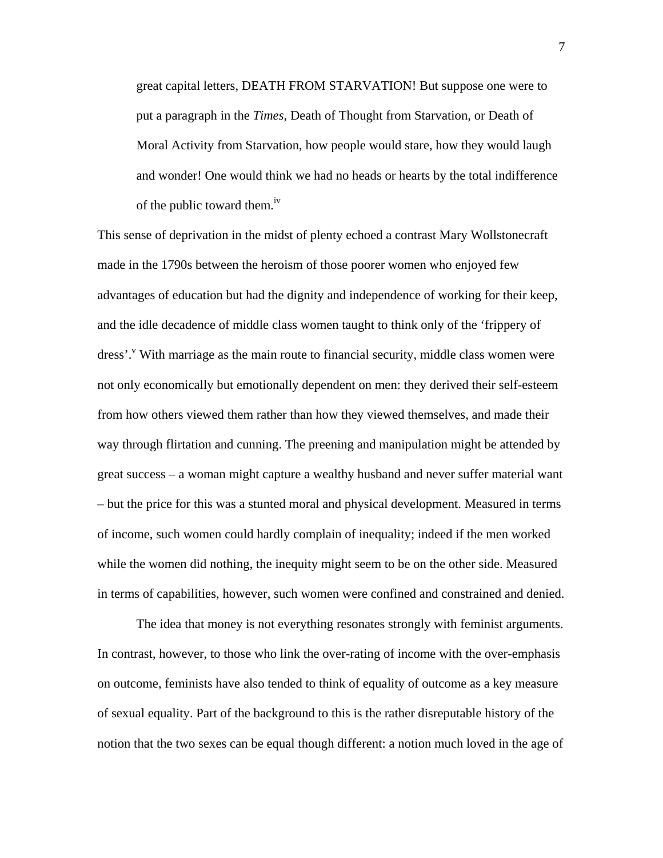great capital letters, DEATH FROM STARVATION! But suppose one were to put a paragraph in the *Times*, Death of Thought from Starvation, or Death of Moral Activity from Starvation, how people would stare, how they would laugh and wonder! One would think we had no heads or hearts by the total indifference of the public toward them.<sup>[iv](#page-31-2)</sup>

This sense of deprivation in the midst of plenty echoed a contrast Mary Wollstonecraft made in the 1790s between the heroism of those poorer women who enjoyed few advantages of education but had the dignity and independence of working for their keep, and the idle decadence of middle class women taught to think only of the 'frippery of dress'. With marriage as the main route to financial security, middle class women were not only economically but emotionally dependent on men: they derived their self-esteem from how others viewed them rather than how they viewed themselves, and made their way through flirtation and cunning. The preening and manipulation might be attended by great success – a woman might capture a wealthy husband and never suffer material want – but the price for this was a stunted moral and physical development. Measured in terms of income, such women could hardly complain of inequality; indeed if the men worked while the women did nothing, the inequity might seem to be on the other side. Measured in terms of capabilities, however, such women were confined and constrained and denied.

The idea that money is not everything resonates strongly with feminist arguments. In contrast, however, to those who link the over-rating of income with the over-emphasis on outcome, feminists have also tended to think of equality of outcome as a key measure of sexual equality. Part of the background to this is the rather disreputable history of the notion that the two sexes can be equal though different: a notion much loved in the age of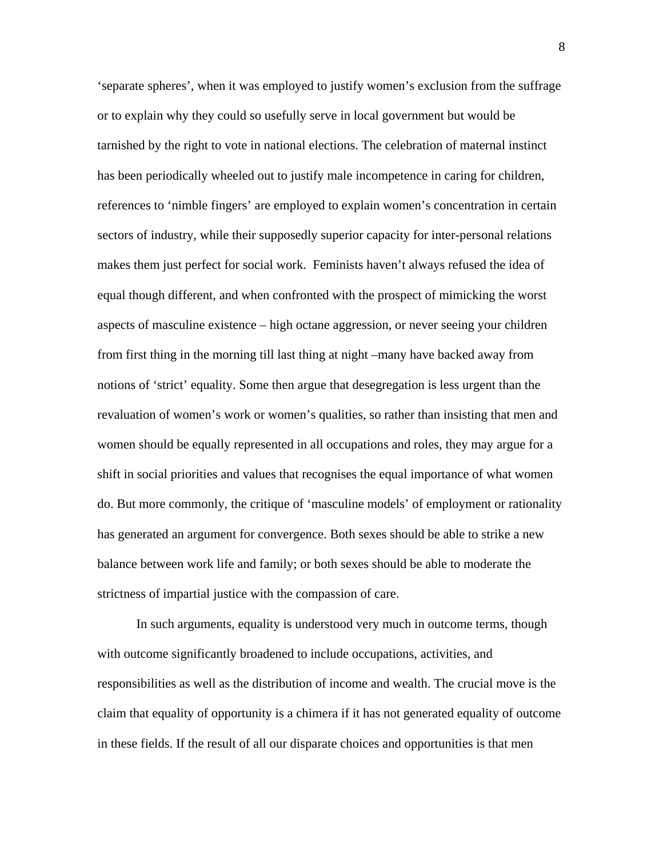'separate spheres', when it was employed to justify women's exclusion from the suffrage or to explain why they could so usefully serve in local government but would be tarnished by the right to vote in national elections. The celebration of maternal instinct has been periodically wheeled out to justify male incompetence in caring for children, references to 'nimble fingers' are employed to explain women's concentration in certain sectors of industry, while their supposedly superior capacity for inter-personal relations makes them just perfect for social work. Feminists haven't always refused the idea of equal though different, and when confronted with the prospect of mimicking the worst aspects of masculine existence – high octane aggression, or never seeing your children from first thing in the morning till last thing at night –many have backed away from notions of 'strict' equality. Some then argue that desegregation is less urgent than the revaluation of women's work or women's qualities, so rather than insisting that men and women should be equally represented in all occupations and roles, they may argue for a shift in social priorities and values that recognises the equal importance of what women do. But more commonly, the critique of 'masculine models' of employment or rationality has generated an argument for convergence. Both sexes should be able to strike a new balance between work life and family; or both sexes should be able to moderate the strictness of impartial justice with the compassion of care.

In such arguments, equality is understood very much in outcome terms, though with outcome significantly broadened to include occupations, activities, and responsibilities as well as the distribution of income and wealth. The crucial move is the claim that equality of opportunity is a chimera if it has not generated equality of outcome in these fields. If the result of all our disparate choices and opportunities is that men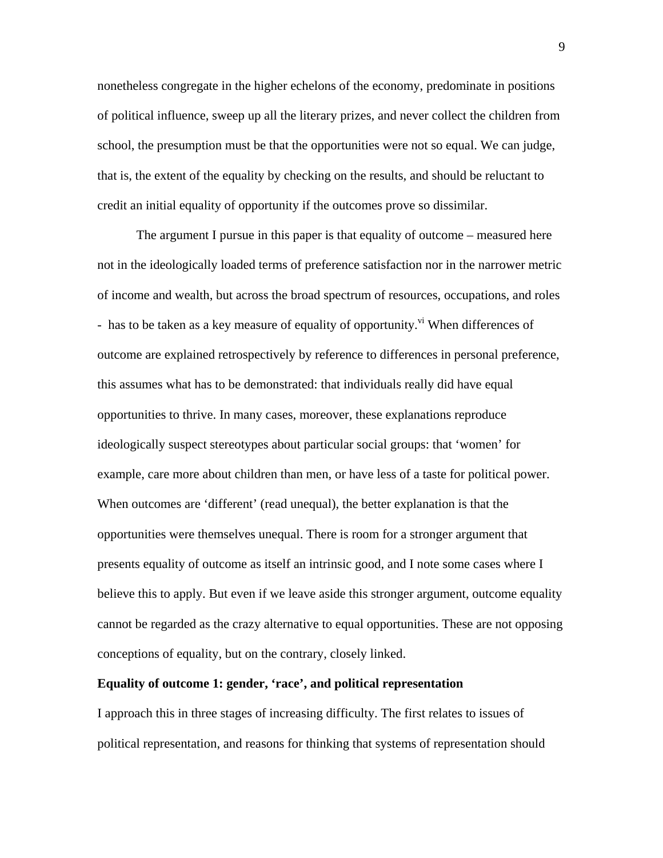nonetheless congregate in the higher echelons of the economy, predominate in positions of political influence, sweep up all the literary prizes, and never collect the children from school, the presumption must be that the opportunities were not so equal. We can judge, that is, the extent of the equality by checking on the results, and should be reluctant to credit an initial equality of opportunity if the outcomes prove so dissimilar.

The argument I pursue in this paper is that equality of outcome – measured here not in the ideologically loaded terms of preference satisfaction nor in the narrower metric of income and wealth, but across the broad spectrum of resources, occupations, and roles - has to be taken as a key measure of equality of opportunity.<sup>vi</sup> When differences of outcome are explained retrospectively by reference to differences in personal preference, this assumes what has to be demonstrated: that individuals really did have equal opportunities to thrive. In many cases, moreover, these explanations reproduce ideologically suspect stereotypes about particular social groups: that 'women' for example, care more about children than men, or have less of a taste for political power. When outcomes are 'different' (read unequal), the better explanation is that the opportunities were themselves unequal. There is room for a stronger argument that presents equality of outcome as itself an intrinsic good, and I note some cases where I believe this to apply. But even if we leave aside this stronger argument, outcome equality cannot be regarded as the crazy alternative to equal opportunities. These are not opposing conceptions of equality, but on the contrary, closely linked.

### **Equality of outcome 1: gender, 'race', and political representation**

I approach this in three stages of increasing difficulty. The first relates to issues of political representation, and reasons for thinking that systems of representation should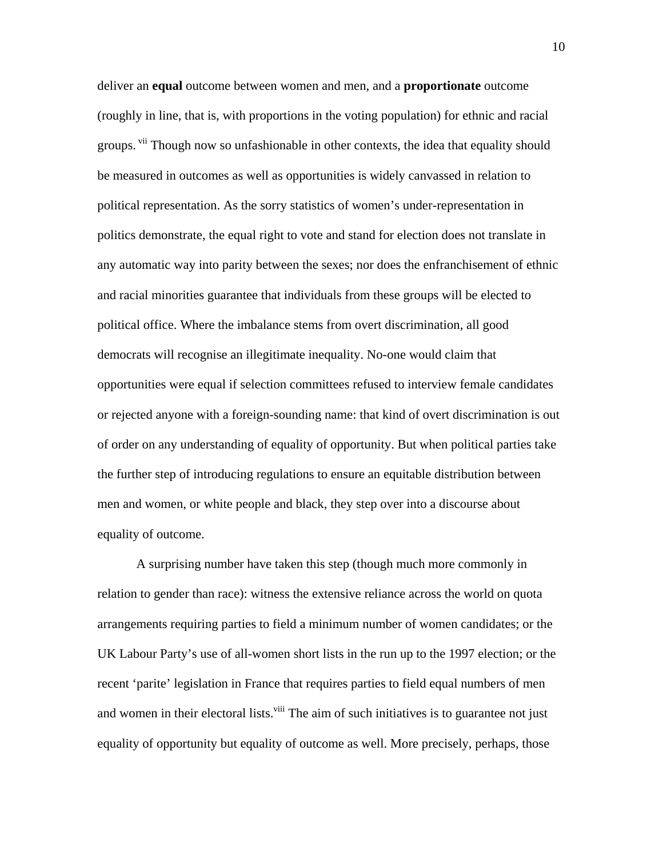deliver an **equal** outcome between women and men, and a **proportionate** outcome (roughly in line, that is, with proportions in the voting population) for ethnic and racial groups. <sup>vii</sup> Though now so unfashionable in other contexts, the idea that equality should be measured in outcomes as well as opportunities is widely canvassed in relation to political representation. As the sorry statistics of women's under-representation in politics demonstrate, the equal right to vote and stand for election does not translate in any automatic way into parity between the sexes; nor does the enfranchisement of ethnic and racial minorities guarantee that individuals from these groups will be elected to political office. Where the imbalance stems from overt discrimination, all good democrats will recognise an illegitimate inequality. No-one would claim that opportunities were equal if selection committees refused to interview female candidates or rejected anyone with a foreign-sounding name: that kind of overt discrimination is out of order on any understanding of equality of opportunity. But when political parties take the further step of introducing regulations to ensure an equitable distribution between men and women, or white people and black, they step over into a discourse about equality of outcome.

A surprising number have taken this step (though much more commonly in relation to gender than race): witness the extensive reliance across the world on quota arrangements requiring parties to field a minimum number of women candidates; or the UK Labour Party's use of all-women short lists in the run up to the 1997 election; or the recent 'parite' legislation in France that requires parties to field equal numbers of men and women in their electoral lists.<sup>viii</sup> The aim of such initiatives is to guarantee not just equality of opportunity but equality of outcome as well. More precisely, perhaps, those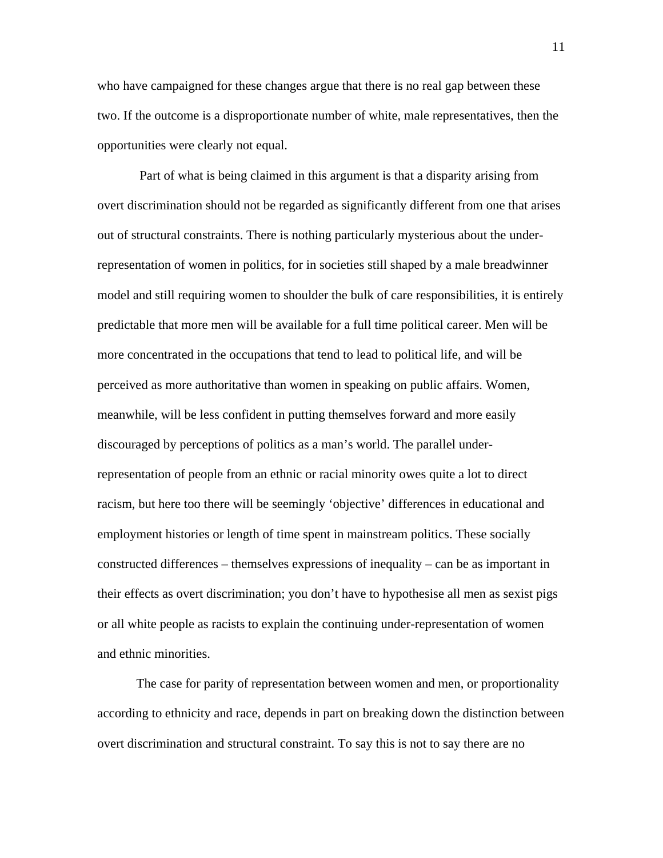who have campaigned for these changes argue that there is no real gap between these two. If the outcome is a disproportionate number of white, male representatives, then the opportunities were clearly not equal.

 Part of what is being claimed in this argument is that a disparity arising from overt discrimination should not be regarded as significantly different from one that arises out of structural constraints. There is nothing particularly mysterious about the underrepresentation of women in politics, for in societies still shaped by a male breadwinner model and still requiring women to shoulder the bulk of care responsibilities, it is entirely predictable that more men will be available for a full time political career. Men will be more concentrated in the occupations that tend to lead to political life, and will be perceived as more authoritative than women in speaking on public affairs. Women, meanwhile, will be less confident in putting themselves forward and more easily discouraged by perceptions of politics as a man's world. The parallel underrepresentation of people from an ethnic or racial minority owes quite a lot to direct racism, but here too there will be seemingly 'objective' differences in educational and employment histories or length of time spent in mainstream politics. These socially constructed differences – themselves expressions of inequality – can be as important in their effects as overt discrimination; you don't have to hypothesise all men as sexist pigs or all white people as racists to explain the continuing under-representation of women and ethnic minorities.

The case for parity of representation between women and men, or proportionality according to ethnicity and race, depends in part on breaking down the distinction between overt discrimination and structural constraint. To say this is not to say there are no

11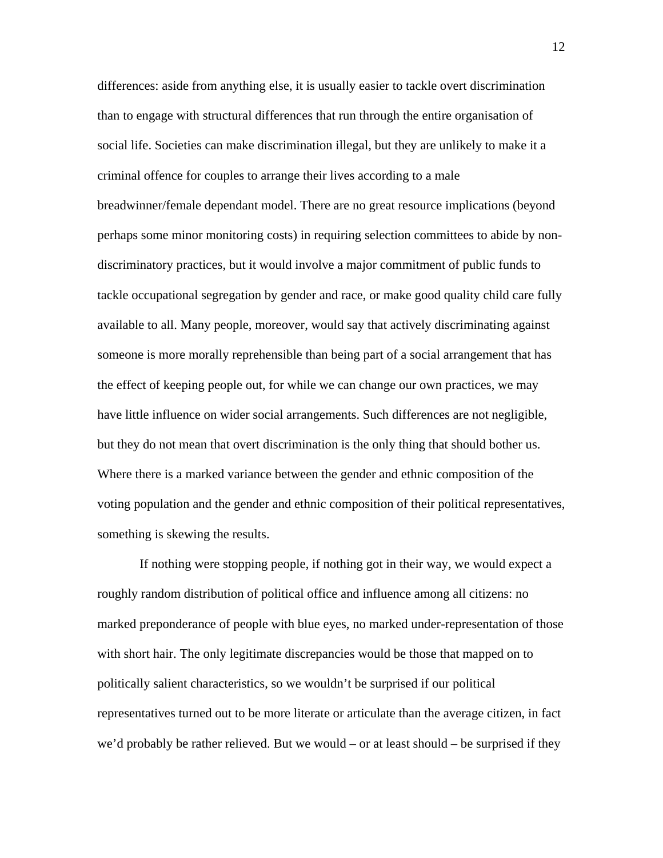differences: aside from anything else, it is usually easier to tackle overt discrimination than to engage with structural differences that run through the entire organisation of social life. Societies can make discrimination illegal, but they are unlikely to make it a criminal offence for couples to arrange their lives according to a male breadwinner/female dependant model. There are no great resource implications (beyond perhaps some minor monitoring costs) in requiring selection committees to abide by nondiscriminatory practices, but it would involve a major commitment of public funds to tackle occupational segregation by gender and race, or make good quality child care fully available to all. Many people, moreover, would say that actively discriminating against someone is more morally reprehensible than being part of a social arrangement that has the effect of keeping people out, for while we can change our own practices, we may have little influence on wider social arrangements. Such differences are not negligible, but they do not mean that overt discrimination is the only thing that should bother us. Where there is a marked variance between the gender and ethnic composition of the voting population and the gender and ethnic composition of their political representatives, something is skewing the results.

 If nothing were stopping people, if nothing got in their way, we would expect a roughly random distribution of political office and influence among all citizens: no marked preponderance of people with blue eyes, no marked under-representation of those with short hair. The only legitimate discrepancies would be those that mapped on to politically salient characteristics, so we wouldn't be surprised if our political representatives turned out to be more literate or articulate than the average citizen, in fact we'd probably be rather relieved. But we would – or at least should – be surprised if they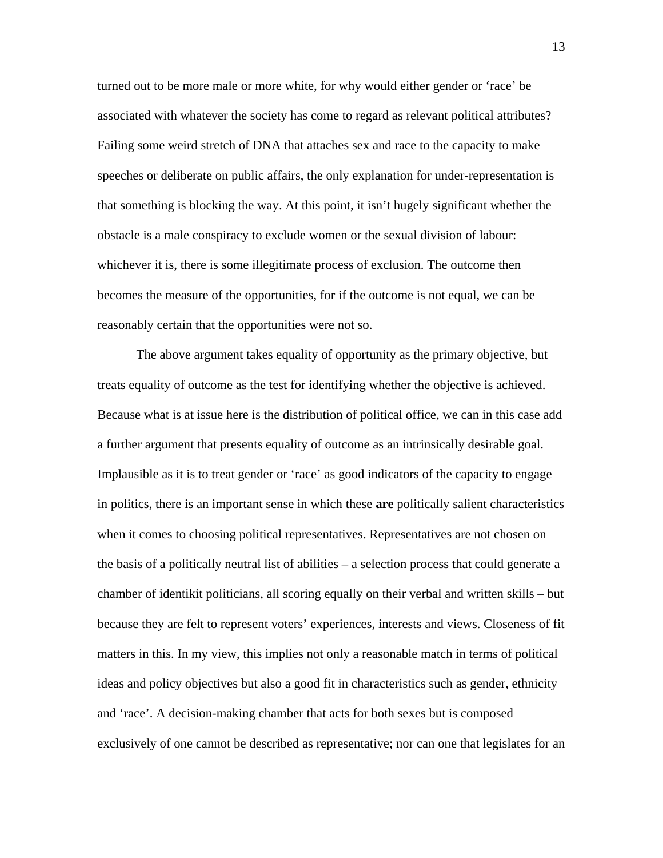turned out to be more male or more white, for why would either gender or 'race' be associated with whatever the society has come to regard as relevant political attributes? Failing some weird stretch of DNA that attaches sex and race to the capacity to make speeches or deliberate on public affairs, the only explanation for under-representation is that something is blocking the way. At this point, it isn't hugely significant whether the obstacle is a male conspiracy to exclude women or the sexual division of labour: whichever it is, there is some illegitimate process of exclusion. The outcome then becomes the measure of the opportunities, for if the outcome is not equal, we can be reasonably certain that the opportunities were not so.

The above argument takes equality of opportunity as the primary objective, but treats equality of outcome as the test for identifying whether the objective is achieved. Because what is at issue here is the distribution of political office, we can in this case add a further argument that presents equality of outcome as an intrinsically desirable goal. Implausible as it is to treat gender or 'race' as good indicators of the capacity to engage in politics, there is an important sense in which these **are** politically salient characteristics when it comes to choosing political representatives. Representatives are not chosen on the basis of a politically neutral list of abilities – a selection process that could generate a chamber of identikit politicians, all scoring equally on their verbal and written skills – but because they are felt to represent voters' experiences, interests and views. Closeness of fit matters in this. In my view, this implies not only a reasonable match in terms of political ideas and policy objectives but also a good fit in characteristics such as gender, ethnicity and 'race'. A decision-making chamber that acts for both sexes but is composed exclusively of one cannot be described as representative; nor can one that legislates for an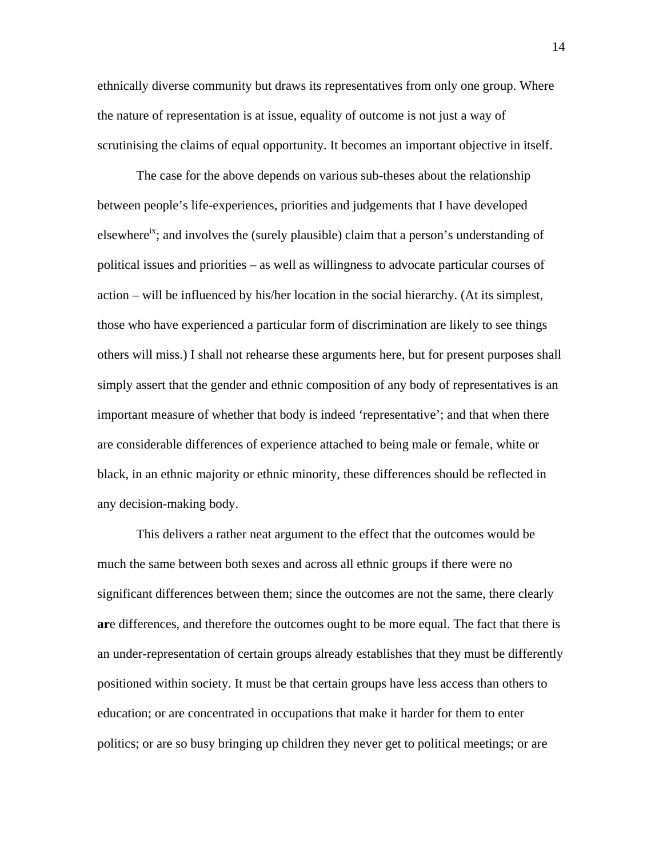ethnically diverse community but draws its representatives from only one group. Where the nature of representation is at issue, equality of outcome is not just a way of scrutinising the claims of equal opportunity. It becomes an important objective in itself.

The case for the above depends on various sub-theses about the relationship between people's life-experiences, priorities and judgements that I have developed elsewhere<sup>ix</sup>; and involves the (surely plausible) claim that a person's understanding of political issues and priorities – as well as willingness to advocate particular courses of action – will be influenced by his/her location in the social hierarchy. (At its simplest, those who have experienced a particular form of discrimination are likely to see things others will miss.) I shall not rehearse these arguments here, but for present purposes shall simply assert that the gender and ethnic composition of any body of representatives is an important measure of whether that body is indeed 'representative'; and that when there are considerable differences of experience attached to being male or female, white or black, in an ethnic majority or ethnic minority, these differences should be reflected in any decision-making body.

This delivers a rather neat argument to the effect that the outcomes would be much the same between both sexes and across all ethnic groups if there were no significant differences between them; since the outcomes are not the same, there clearly **ar**e differences, and therefore the outcomes ought to be more equal. The fact that there is an under-representation of certain groups already establishes that they must be differently positioned within society. It must be that certain groups have less access than others to education; or are concentrated in occupations that make it harder for them to enter politics; or are so busy bringing up children they never get to political meetings; or are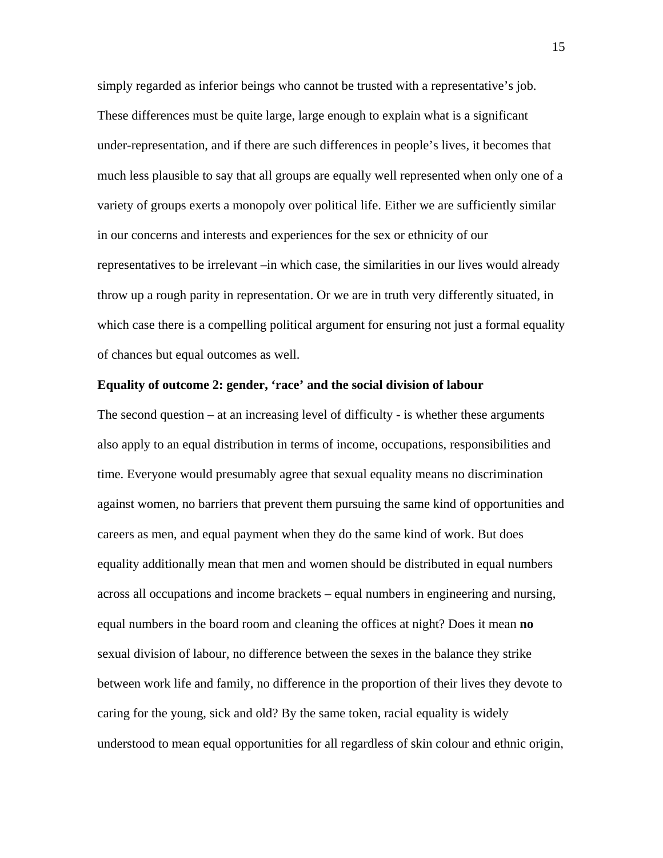simply regarded as inferior beings who cannot be trusted with a representative's job. These differences must be quite large, large enough to explain what is a significant under-representation, and if there are such differences in people's lives, it becomes that much less plausible to say that all groups are equally well represented when only one of a variety of groups exerts a monopoly over political life. Either we are sufficiently similar in our concerns and interests and experiences for the sex or ethnicity of our representatives to be irrelevant –in which case, the similarities in our lives would already throw up a rough parity in representation. Or we are in truth very differently situated, in which case there is a compelling political argument for ensuring not just a formal equality of chances but equal outcomes as well.

### **Equality of outcome 2: gender, 'race' and the social division of labour**

The second question – at an increasing level of difficulty - is whether these arguments also apply to an equal distribution in terms of income, occupations, responsibilities and time. Everyone would presumably agree that sexual equality means no discrimination against women, no barriers that prevent them pursuing the same kind of opportunities and careers as men, and equal payment when they do the same kind of work. But does equality additionally mean that men and women should be distributed in equal numbers across all occupations and income brackets – equal numbers in engineering and nursing, equal numbers in the board room and cleaning the offices at night? Does it mean **no** sexual division of labour, no difference between the sexes in the balance they strike between work life and family, no difference in the proportion of their lives they devote to caring for the young, sick and old? By the same token, racial equality is widely understood to mean equal opportunities for all regardless of skin colour and ethnic origin,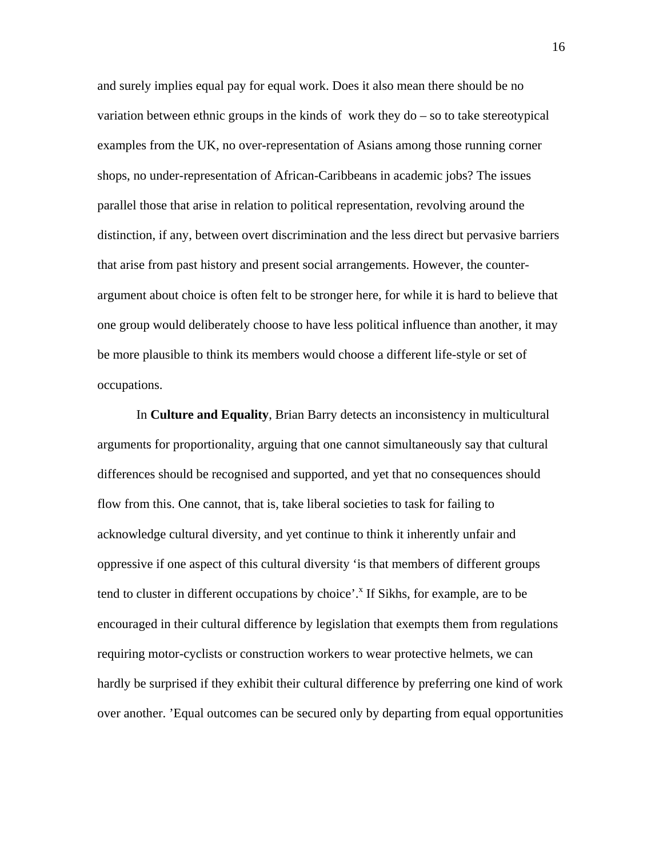and surely implies equal pay for equal work. Does it also mean there should be no variation between ethnic groups in the kinds of work they  $d\sigma$  – so to take stereotypical examples from the UK, no over-representation of Asians among those running corner shops, no under-representation of African-Caribbeans in academic jobs? The issues parallel those that arise in relation to political representation, revolving around the distinction, if any, between overt discrimination and the less direct but pervasive barriers that arise from past history and present social arrangements. However, the counterargument about choice is often felt to be stronger here, for while it is hard to believe that one group would deliberately choose to have less political influence than another, it may be more plausible to think its members would choose a different life-style or set of occupations.

In **Culture and Equality**, Brian Barry detects an inconsistency in multicultural arguments for proportionality, arguing that one cannot simultaneously say that cultural differences should be recognised and supported, and yet that no consequences should flow from this. One cannot, that is, take liberal societies to task for failing to acknowledge cultural diversity, and yet continue to think it inherently unfair and oppressive if one aspect of this cultural diversity 'is that members of different groups tend to cluster in different occupations by choice'.<sup>x</sup> If Sikhs, for example, are to be encouraged in their cultural difference by legislation that exempts them from regulations requiring motor-cyclists or construction workers to wear protective helmets, we can hardly be surprised if they exhibit their cultural difference by preferring one kind of work over another. 'Equal outcomes can be secured only by departing from equal opportunities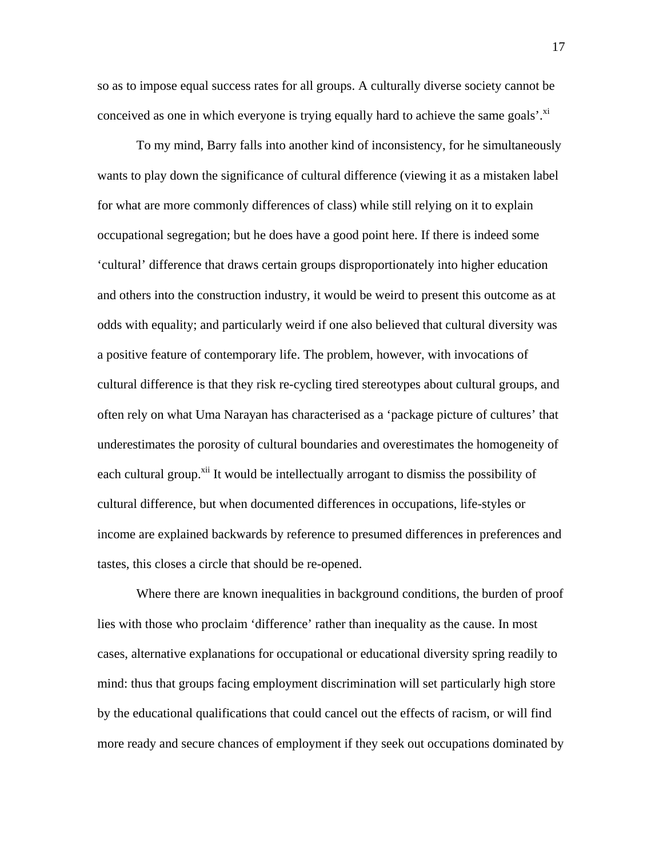so as to impose equal success rates for all groups. A culturally diverse society cannot be conceived as one in which everyone is trying equally hard to achieve the same goals'.<sup>[xi](#page-31-7)</sup>

To my mind, Barry falls into another kind of inconsistency, for he simultaneously wants to play down the significance of cultural difference (viewing it as a mistaken label for what are more commonly differences of class) while still relying on it to explain occupational segregation; but he does have a good point here. If there is indeed some 'cultural' difference that draws certain groups disproportionately into higher education and others into the construction industry, it would be weird to present this outcome as at odds with equality; and particularly weird if one also believed that cultural diversity was a positive feature of contemporary life. The problem, however, with invocations of cultural difference is that they risk re-cycling tired stereotypes about cultural groups, and often rely on what Uma Narayan has characterised as a 'package picture of cultures' that underestimates the porosity of cultural boundaries and overestimates the homogeneity of each cultural group.<sup>xii</sup> It would be intellectually arrogant to dismiss the possibility of cultural difference, but when documented differences in occupations, life-styles or income are explained backwards by reference to presumed differences in preferences and tastes, this closes a circle that should be re-opened.

Where there are known inequalities in background conditions, the burden of proof lies with those who proclaim 'difference' rather than inequality as the cause. In most cases, alternative explanations for occupational or educational diversity spring readily to mind: thus that groups facing employment discrimination will set particularly high store by the educational qualifications that could cancel out the effects of racism, or will find more ready and secure chances of employment if they seek out occupations dominated by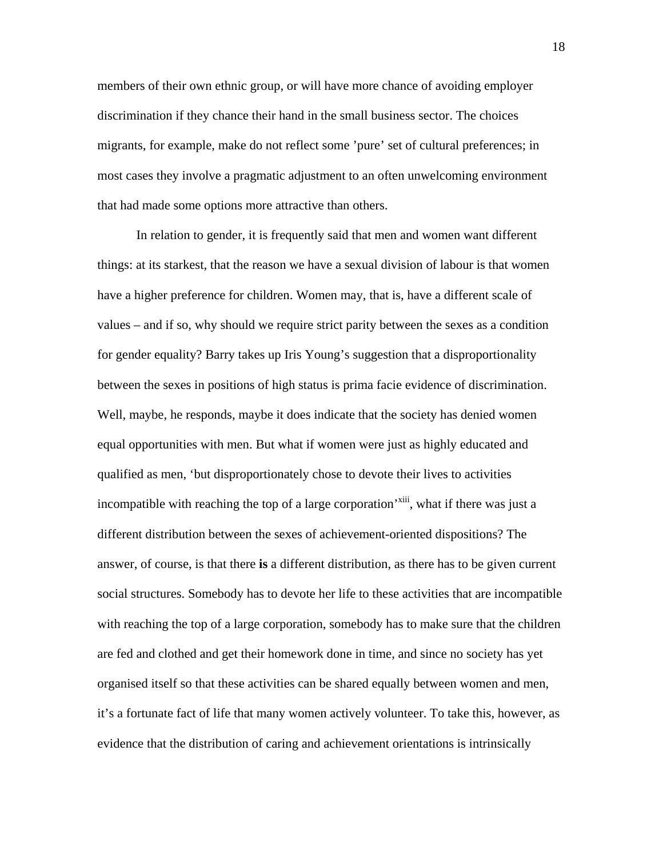members of their own ethnic group, or will have more chance of avoiding employer discrimination if they chance their hand in the small business sector. The choices migrants, for example, make do not reflect some 'pure' set of cultural preferences; in most cases they involve a pragmatic adjustment to an often unwelcoming environment that had made some options more attractive than others.

In relation to gender, it is frequently said that men and women want different things: at its starkest, that the reason we have a sexual division of labour is that women have a higher preference for children. Women may, that is, have a different scale of values – and if so, why should we require strict parity between the sexes as a condition for gender equality? Barry takes up Iris Young's suggestion that a disproportionality between the sexes in positions of high status is prima facie evidence of discrimination. Well, maybe, he responds, maybe it does indicate that the society has denied women equal opportunities with men. But what if women were just as highly educated and qualified as men, 'but disproportionately chose to devote their lives to activities incompatible with reaching the top of a large corporation<sup>'xiii</sup>, what if there was just a different distribution between the sexes of achievement-oriented dispositions? The answer, of course, is that there **is** a different distribution, as there has to be given current social structures. Somebody has to devote her life to these activities that are incompatible with reaching the top of a large corporation, somebody has to make sure that the children are fed and clothed and get their homework done in time, and since no society has yet organised itself so that these activities can be shared equally between women and men, it's a fortunate fact of life that many women actively volunteer. To take this, however, as evidence that the distribution of caring and achievement orientations is intrinsically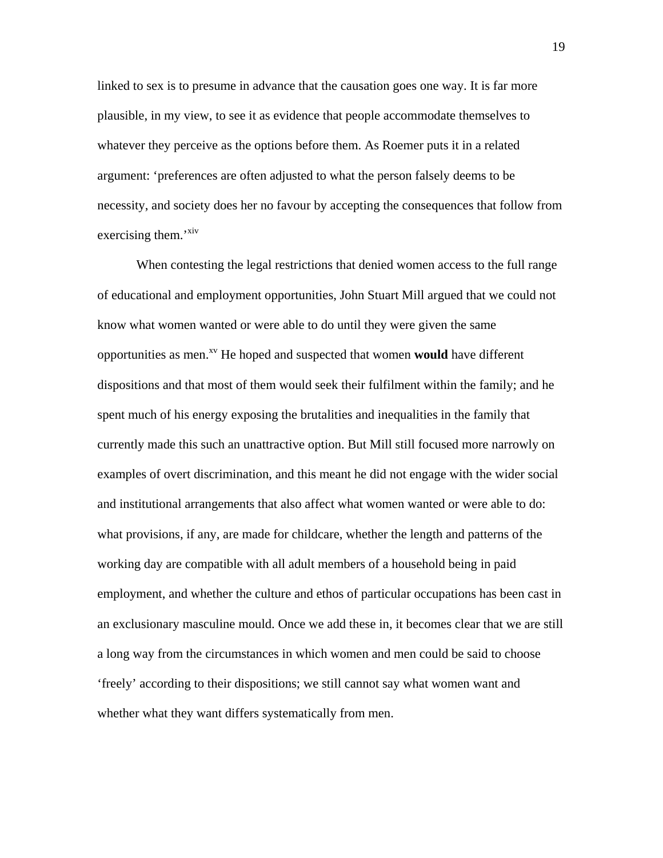linked to sex is to presume in advance that the causation goes one way. It is far more plausible, in my view, to see it as evidence that people accommodate themselves to whatever they perceive as the options before them. As Roemer puts it in a related argument: 'preferences are often adjusted to what the person falsely deems to be necessity, and society does her no favour by accepting the consequences that follow from exercising them.'<sup>[xiv](#page-31-5)</sup>

When contesting the legal restrictions that denied women access to the full range of educational and employment opportunities, John Stuart Mill argued that we could not know what women wanted or were able to do until they were given the same opportunities as men.<sup>xv</sup> He hoped and suspected that women **would** have different dispositions and that most of them would seek their fulfilment within the family; and he spent much of his energy exposing the brutalities and inequalities in the family that currently made this such an unattractive option. But Mill still focused more narrowly on examples of overt discrimination, and this meant he did not engage with the wider social and institutional arrangements that also affect what women wanted or were able to do: what provisions, if any, are made for childcare, whether the length and patterns of the working day are compatible with all adult members of a household being in paid employment, and whether the culture and ethos of particular occupations has been cast in an exclusionary masculine mould. Once we add these in, it becomes clear that we are still a long way from the circumstances in which women and men could be said to choose 'freely' according to their dispositions; we still cannot say what women want and whether what they want differs systematically from men.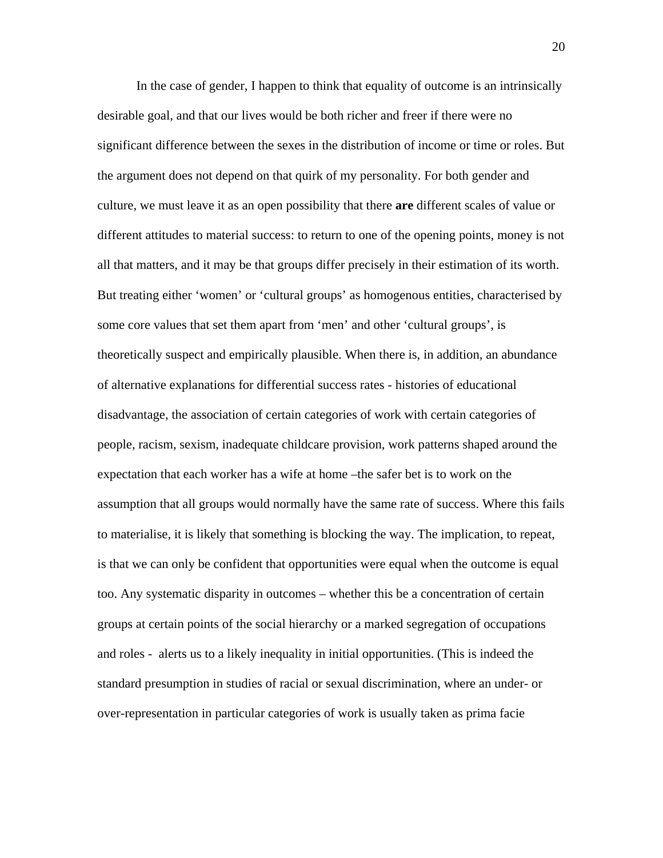In the case of gender, I happen to think that equality of outcome is an intrinsically desirable goal, and that our lives would be both richer and freer if there were no significant difference between the sexes in the distribution of income or time or roles. But the argument does not depend on that quirk of my personality. For both gender and culture, we must leave it as an open possibility that there **are** different scales of value or different attitudes to material success: to return to one of the opening points, money is not all that matters, and it may be that groups differ precisely in their estimation of its worth. But treating either 'women' or 'cultural groups' as homogenous entities, characterised by some core values that set them apart from 'men' and other 'cultural groups', is theoretically suspect and empirically plausible. When there is, in addition, an abundance of alternative explanations for differential success rates - histories of educational disadvantage, the association of certain categories of work with certain categories of people, racism, sexism, inadequate childcare provision, work patterns shaped around the expectation that each worker has a wife at home –the safer bet is to work on the assumption that all groups would normally have the same rate of success. Where this fails to materialise, it is likely that something is blocking the way. The implication, to repeat, is that we can only be confident that opportunities were equal when the outcome is equal too. Any systematic disparity in outcomes – whether this be a concentration of certain groups at certain points of the social hierarchy or a marked segregation of occupations and roles - alerts us to a likely inequality in initial opportunities. (This is indeed the standard presumption in studies of racial or sexual discrimination, where an under- or over-representation in particular categories of work is usually taken as prima facie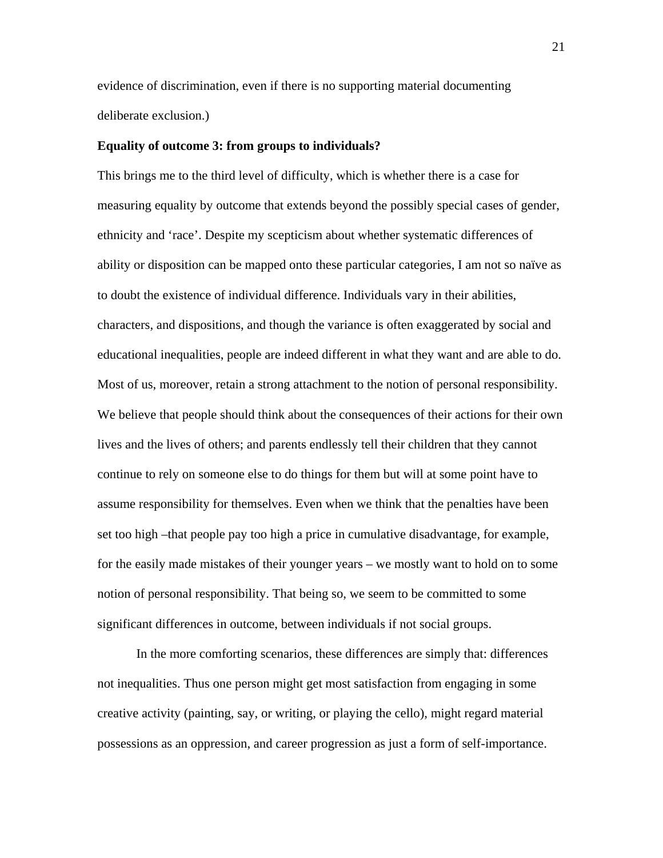evidence of discrimination, even if there is no supporting material documenting deliberate exclusion.)

#### **Equality of outcome 3: from groups to individuals?**

This brings me to the third level of difficulty, which is whether there is a case for measuring equality by outcome that extends beyond the possibly special cases of gender, ethnicity and 'race'. Despite my scepticism about whether systematic differences of ability or disposition can be mapped onto these particular categories, I am not so naïve as to doubt the existence of individual difference. Individuals vary in their abilities, characters, and dispositions, and though the variance is often exaggerated by social and educational inequalities, people are indeed different in what they want and are able to do. Most of us, moreover, retain a strong attachment to the notion of personal responsibility. We believe that people should think about the consequences of their actions for their own lives and the lives of others; and parents endlessly tell their children that they cannot continue to rely on someone else to do things for them but will at some point have to assume responsibility for themselves. Even when we think that the penalties have been set too high –that people pay too high a price in cumulative disadvantage, for example, for the easily made mistakes of their younger years – we mostly want to hold on to some notion of personal responsibility. That being so, we seem to be committed to some significant differences in outcome, between individuals if not social groups.

 In the more comforting scenarios, these differences are simply that: differences not inequalities. Thus one person might get most satisfaction from engaging in some creative activity (painting, say, or writing, or playing the cello), might regard material possessions as an oppression, and career progression as just a form of self-importance.

21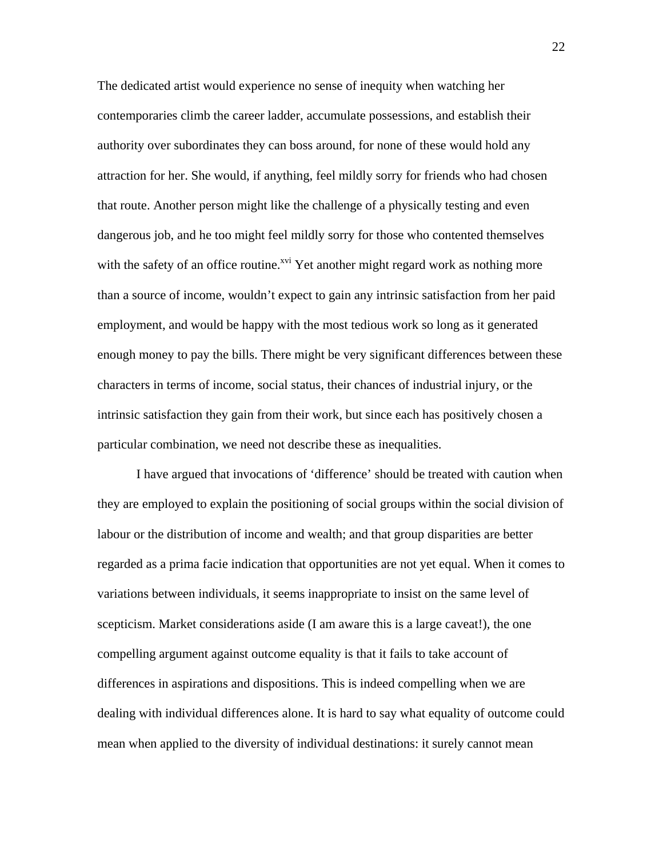The dedicated artist would experience no sense of inequity when watching her contemporaries climb the career ladder, accumulate possessions, and establish their authority over subordinates they can boss around, for none of these would hold any attraction for her. She would, if anything, feel mildly sorry for friends who had chosen that route. Another person might like the challenge of a physically testing and even dangerous job, and he too might feel mildly sorry for those who contented themselves with the safety of an office routine.<sup>xvi</sup> Yet another might regard work as nothing more than a source of income, wouldn't expect to gain any intrinsic satisfaction from her paid employment, and would be happy with the most tedious work so long as it generated enough money to pay the bills. There might be very significant differences between these characters in terms of income, social status, their chances of industrial injury, or the intrinsic satisfaction they gain from their work, but since each has positively chosen a particular combination, we need not describe these as inequalities.

I have argued that invocations of 'difference' should be treated with caution when they are employed to explain the positioning of social groups within the social division of labour or the distribution of income and wealth; and that group disparities are better regarded as a prima facie indication that opportunities are not yet equal. When it comes to variations between individuals, it seems inappropriate to insist on the same level of scepticism. Market considerations aside (I am aware this is a large caveat!), the one compelling argument against outcome equality is that it fails to take account of differences in aspirations and dispositions. This is indeed compelling when we are dealing with individual differences alone. It is hard to say what equality of outcome could mean when applied to the diversity of individual destinations: it surely cannot mean

22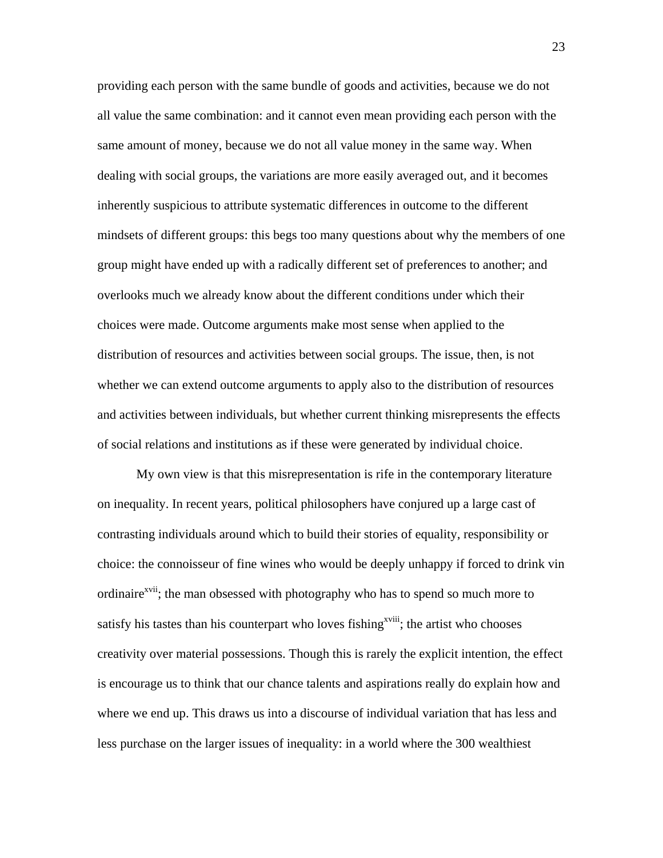providing each person with the same bundle of goods and activities, because we do not all value the same combination: and it cannot even mean providing each person with the same amount of money, because we do not all value money in the same way. When dealing with social groups, the variations are more easily averaged out, and it becomes inherently suspicious to attribute systematic differences in outcome to the different mindsets of different groups: this begs too many questions about why the members of one group might have ended up with a radically different set of preferences to another; and overlooks much we already know about the different conditions under which their choices were made. Outcome arguments make most sense when applied to the distribution of resources and activities between social groups. The issue, then, is not whether we can extend outcome arguments to apply also to the distribution of resources and activities between individuals, but whether current thinking misrepresents the effects of social relations and institutions as if these were generated by individual choice.

My own view is that this misrepresentation is rife in the contemporary literature on inequality. In recent years, political philosophers have conjured up a large cast of contrasting individuals around which to build their stories of equality, responsibility or choice: the connoisseur of fine wines who would be deeply unhappy if forced to drink vin ordinaire<sup>xvii</sup>; the man obsessed with photography who has to spend so much more to satisfy his tastes than his counterpart who loves fishing<sup> $xviii$ </sup>; the artist who chooses creativity over material possessions. Though this is rarely the explicit intention, the effect is encourage us to think that our chance talents and aspirations really do explain how and where we end up. This draws us into a discourse of individual variation that has less and less purchase on the larger issues of inequality: in a world where the 300 wealthiest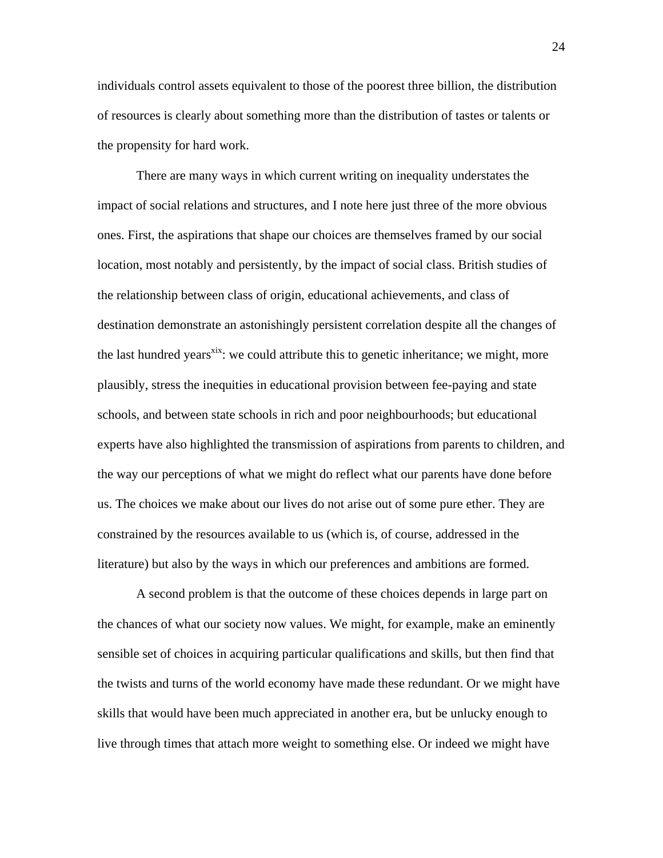individuals control assets equivalent to those of the poorest three billion, the distribution of resources is clearly about something more than the distribution of tastes or talents or the propensity for hard work.

There are many ways in which current writing on inequality understates the impact of social relations and structures, and I note here just three of the more obvious ones. First, the aspirations that shape our choices are themselves framed by our social location, most notably and persistently, by the impact of social class. British studies of the relationship between class of origin, educational achievements, and class of destination demonstrate an astonishingly persistent correlation despite all the changes of the last hundred years<sup>xix</sup>: we could attribute this to genetic inheritance; we might, more plausibly, stress the inequities in educational provision between fee-paying and state schools, and between state schools in rich and poor neighbourhoods; but educational experts have also highlighted the transmission of aspirations from parents to children, and the way our perceptions of what we might do reflect what our parents have done before us. The choices we make about our lives do not arise out of some pure ether. They are constrained by the resources available to us (which is, of course, addressed in the literature) but also by the ways in which our preferences and ambitions are formed.

A second problem is that the outcome of these choices depends in large part on the chances of what our society now values. We might, for example, make an eminently sensible set of choices in acquiring particular qualifications and skills, but then find that the twists and turns of the world economy have made these redundant. Or we might have skills that would have been much appreciated in another era, but be unlucky enough to live through times that attach more weight to something else. Or indeed we might have

24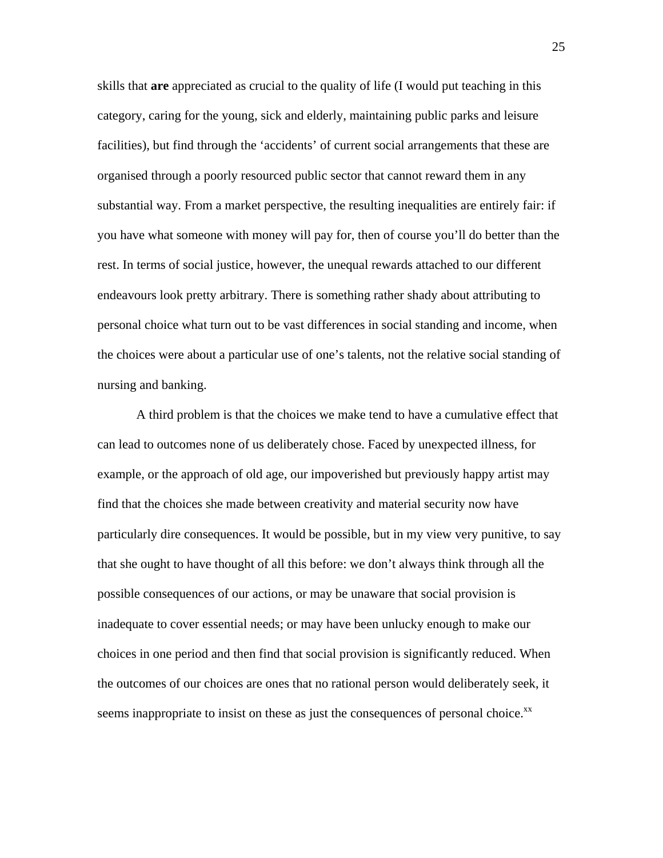skills that **are** appreciated as crucial to the quality of life (I would put teaching in this category, caring for the young, sick and elderly, maintaining public parks and leisure facilities), but find through the 'accidents' of current social arrangements that these are organised through a poorly resourced public sector that cannot reward them in any substantial way. From a market perspective, the resulting inequalities are entirely fair: if you have what someone with money will pay for, then of course you'll do better than the rest. In terms of social justice, however, the unequal rewards attached to our different endeavours look pretty arbitrary. There is something rather shady about attributing to personal choice what turn out to be vast differences in social standing and income, when the choices were about a particular use of one's talents, not the relative social standing of nursing and banking.

A third problem is that the choices we make tend to have a cumulative effect that can lead to outcomes none of us deliberately chose. Faced by unexpected illness, for example, or the approach of old age, our impoverished but previously happy artist may find that the choices she made between creativity and material security now have particularly dire consequences. It would be possible, but in my view very punitive, to say that she ought to have thought of all this before: we don't always think through all the possible consequences of our actions, or may be unaware that social provision is inadequate to cover essential needs; or may have been unlucky enough to make our choices in one period and then find that social provision is significantly reduced. When the outcomes of our choices are ones that no rational person would deliberately seek, it seems inappropriate to insist on these as just the consequences of personal choice.<sup>[xx](#page-31-4)</sup>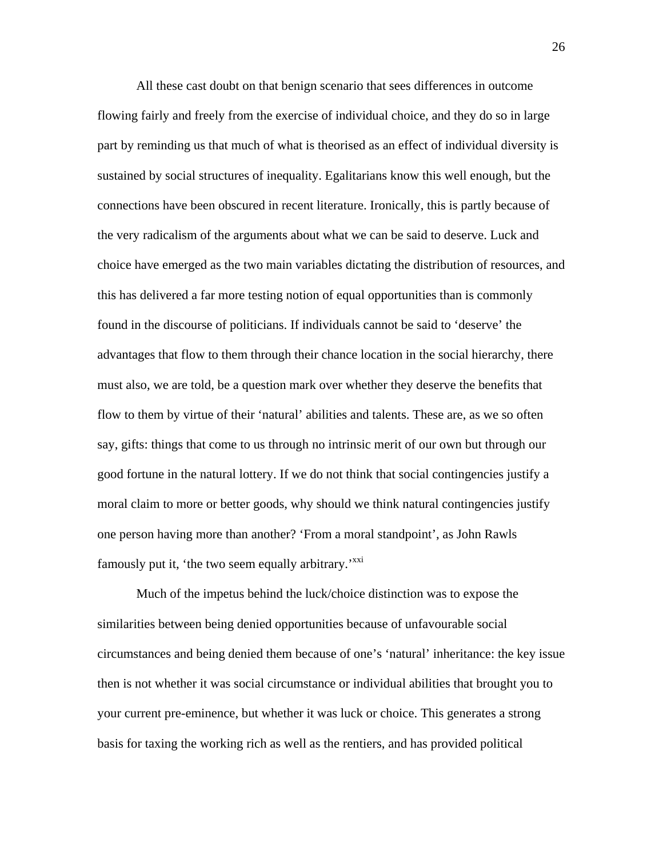All these cast doubt on that benign scenario that sees differences in outcome flowing fairly and freely from the exercise of individual choice, and they do so in large part by reminding us that much of what is theorised as an effect of individual diversity is sustained by social structures of inequality. Egalitarians know this well enough, but the connections have been obscured in recent literature. Ironically, this is partly because of the very radicalism of the arguments about what we can be said to deserve. Luck and choice have emerged as the two main variables dictating the distribution of resources, and this has delivered a far more testing notion of equal opportunities than is commonly found in the discourse of politicians. If individuals cannot be said to 'deserve' the advantages that flow to them through their chance location in the social hierarchy, there must also, we are told, be a question mark over whether they deserve the benefits that flow to them by virtue of their 'natural' abilities and talents. These are, as we so often say, gifts: things that come to us through no intrinsic merit of our own but through our good fortune in the natural lottery. If we do not think that social contingencies justify a moral claim to more or better goods, why should we think natural contingencies justify one person having more than another? 'From a moral standpoint', as John Rawls famously put it, 'the two seem equally arbitrary.'<sup>xxi</sup>

Much of the impetus behind the luck/choice distinction was to expose the similarities between being denied opportunities because of unfavourable social circumstances and being denied them because of one's 'natural' inheritance: the key issue then is not whether it was social circumstance or individual abilities that brought you to your current pre-eminence, but whether it was luck or choice. This generates a strong basis for taxing the working rich as well as the rentiers, and has provided political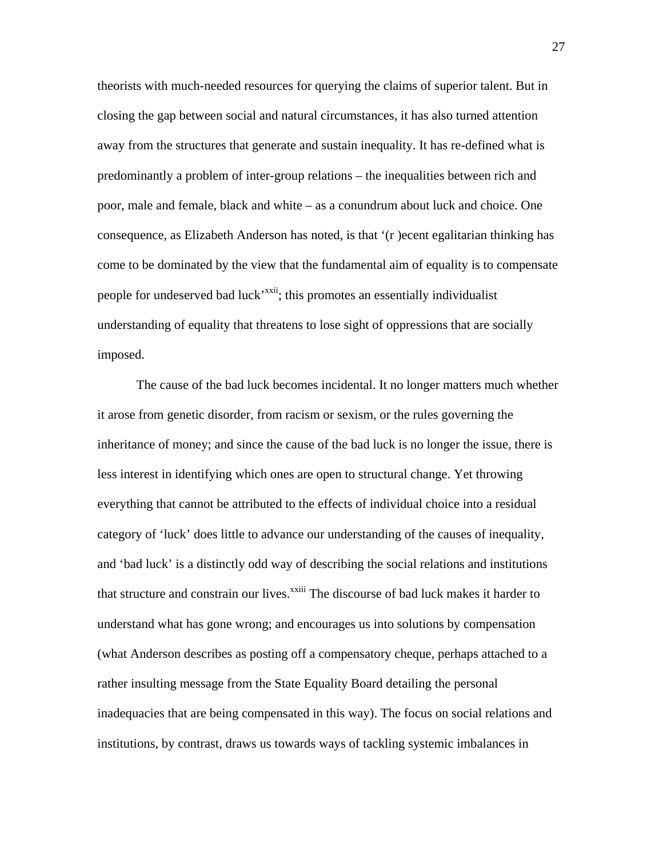theorists with much-needed resources for querying the claims of superior talent. But in closing the gap between social and natural circumstances, it has also turned attention away from the structures that generate and sustain inequality. It has re-defined what is predominantly a problem of inter-group relations – the inequalities between rich and poor, male and female, black and white – as a conundrum about luck and choice. One consequence, as Elizabeth Anderson has noted, is that '(r )ecent egalitarian thinking has come to be dominated by the view that the fundamental aim of equality is to compensate people for undeserved bad luck<sup>, xxii</sup>; this promotes an essentially individualist understanding of equality that threatens to lose sight of oppressions that are socially imposed.

The cause of the bad luck becomes incidental. It no longer matters much whether it arose from genetic disorder, from racism or sexism, or the rules governing the inheritance of money; and since the cause of the bad luck is no longer the issue, there is less interest in identifying which ones are open to structural change. Yet throwing everything that cannot be attributed to the effects of individual choice into a residual category of 'luck' does little to advance our understanding of the causes of inequality, and 'bad luck' is a distinctly odd way of describing the social relations and institutions that structure and constrain our lives.<sup>[xxiii](#page-31-6)</sup> The discourse of bad luck makes it harder to understand what has gone wrong; and encourages us into solutions by compensation (what Anderson describes as posting off a compensatory cheque, perhaps attached to a rather insulting message from the State Equality Board detailing the personal inadequacies that are being compensated in this way). The focus on social relations and institutions, by contrast, draws us towards ways of tackling systemic imbalances in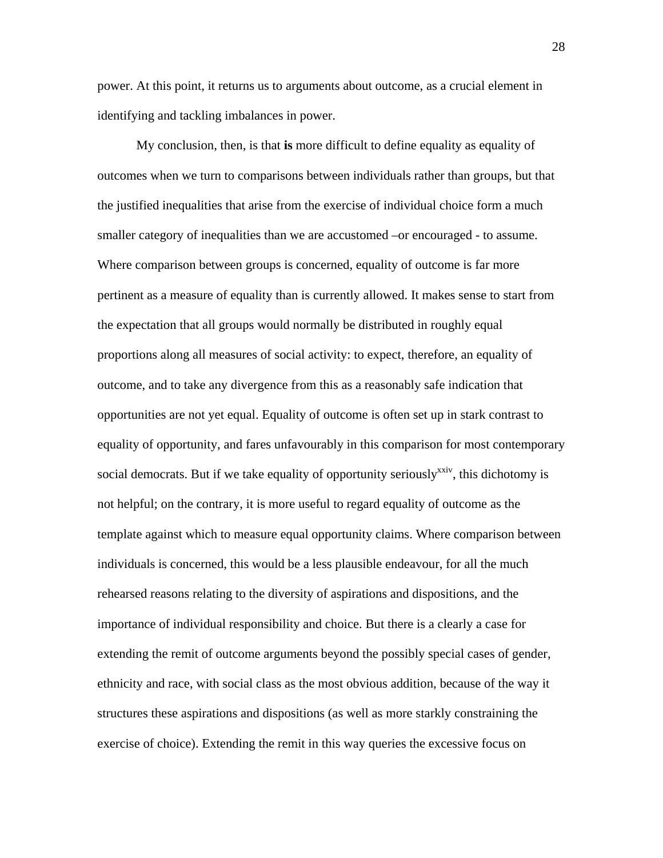power. At this point, it returns us to arguments about outcome, as a crucial element in identifying and tackling imbalances in power.

My conclusion, then, is that **is** more difficult to define equality as equality of outcomes when we turn to comparisons between individuals rather than groups, but that the justified inequalities that arise from the exercise of individual choice form a much smaller category of inequalities than we are accustomed –or encouraged - to assume. Where comparison between groups is concerned, equality of outcome is far more pertinent as a measure of equality than is currently allowed. It makes sense to start from the expectation that all groups would normally be distributed in roughly equal proportions along all measures of social activity: to expect, therefore, an equality of outcome, and to take any divergence from this as a reasonably safe indication that opportunities are not yet equal. Equality of outcome is often set up in stark contrast to equality of opportunity, and fares unfavourably in this comparison for most contemporary social democrats. But if we take equality of opportunity seriously  $x$ <sup>xxiv</sup>, this dichotomy is not helpful; on the contrary, it is more useful to regard equality of outcome as the template against which to measure equal opportunity claims. Where comparison between individuals is concerned, this would be a less plausible endeavour, for all the much rehearsed reasons relating to the diversity of aspirations and dispositions, and the importance of individual responsibility and choice. But there is a clearly a case for extending the remit of outcome arguments beyond the possibly special cases of gender, ethnicity and race, with social class as the most obvious addition, because of the way it structures these aspirations and dispositions (as well as more starkly constraining the exercise of choice). Extending the remit in this way queries the excessive focus on

28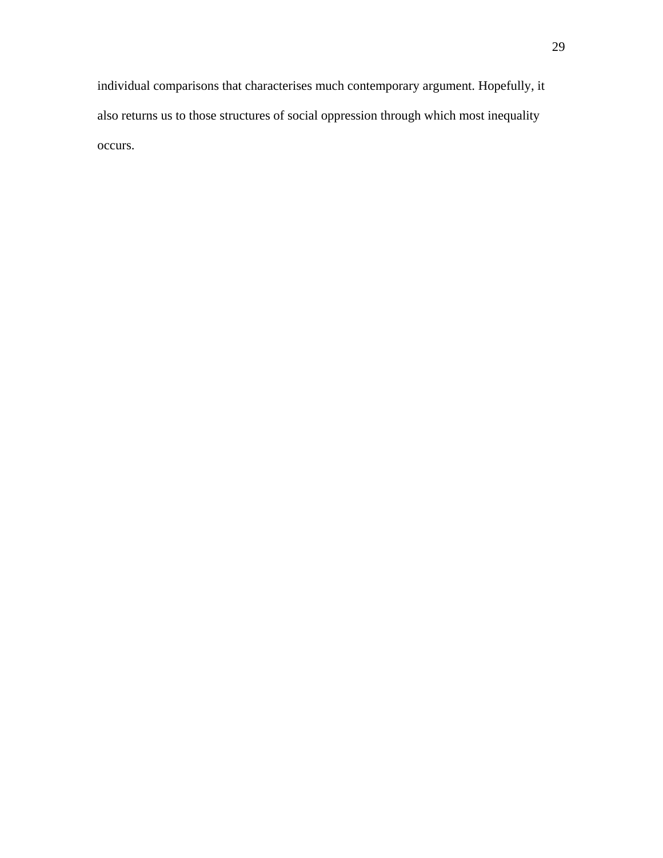individual comparisons that characterises much contemporary argument. Hopefully, it also returns us to those structures of social oppression through which most inequality occurs.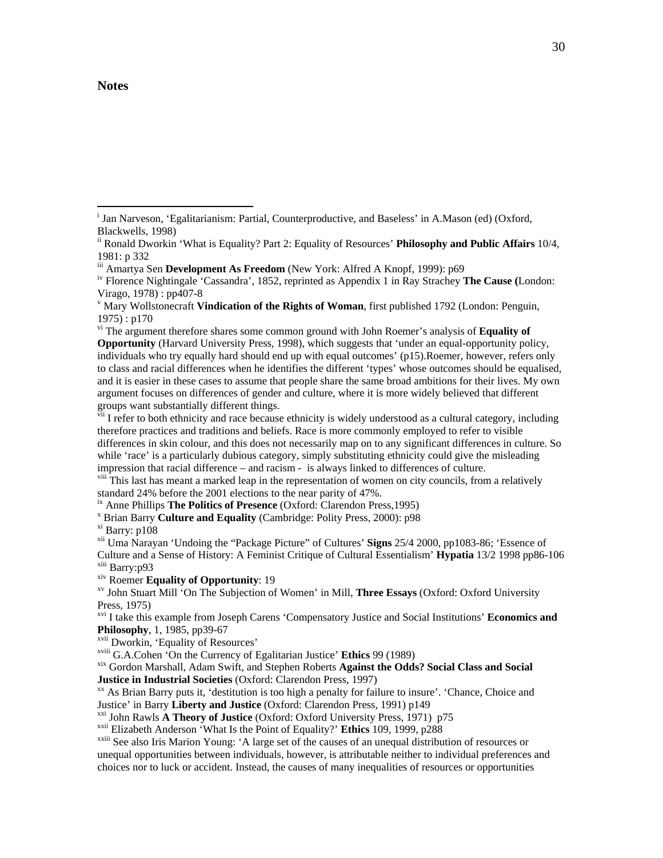$\overline{a}$ 

<sup>viii</sup> This last has meant a marked leap in the representation of women on city councils, from a relatively standard  $24\%$  before the  $2001$  elections to the near parity of  $47\%$ .

 $\frac{dx}{dt}$  Anne Phillips **The Politics of Presence** (Oxford: Clarendon Press,1995)

 $\frac{x}{x}$  Brian Barry **Culture and Equality** (Cambridge: Polity Press, 2000): p98  $\frac{x}{x}$  Barry: p108

xii Uma Narayan 'Undoing the "Package Picture" of Cultures' **Signs** 25/4 2000, pp1083-86; 'Essence of Culture and a Sense of History: A Feminist Critique of Cultural Essentialism' **Hypatia** 13/2 1998 pp86-106 xiii Barry:p93<br><sup>xiv</sup> Roemer **Equality of Opportunity**: 19

xiv Roemer **Equality of Opportunity**: 19 xv John Stuart Mill 'On The Subjection of Women' in Mill, **Three Essays** (Oxford: Oxford University Press, 1975)

xvi I take this example from Joseph Carens 'Compensatory Justice and Social Institutions' **Economics and Philosophy**, 1, 1985, pp39-67

<sup>xvii</sup> Dworkin, 'Equality of Resources'<br><sup>xviii</sup> G.A.Cohen 'On the Currency of Egalitarian Justice' **Ethics** 99 (1989)

xix Gordon Marshall, Adam Swift, and Stephen Roberts **Against the Odds? Social Class and Social Justice in Industrial Societies** (Oxford: Clarendon Press, 1997)

<sup>xx</sup> As Brian Barry puts it, 'destitution is too high a penalty for failure to insure'. 'Chance, Choice and Justice' in Barry **Liberty and Justice** (Oxford: Clarendon Press, 1991) p149

<sup>xxi</sup> John Rawls **A Theory of Justice** (Oxford: Oxford University Press, 1971) p75<br><sup>xxii</sup> Elizabeth Anderson 'What Is the Point of Equality?' **Ethics** 109, 1999, p288<br><sup>xxiii</sup> See also Iris Marion Young: 'A large set of th unequal opportunities between individuals, however, is attributable neither to individual preferences and choices nor to luck or accident. Instead, the causes of many inequalities of resources or opportunities

**Notes** 

<sup>&</sup>lt;sup>i</sup> Jan Narveson, 'Egalitarianism: Partial, Counterproductive, and Baseless' in A.Mason (ed) (Oxford, Blackwells, 1998)

ii Ronald Dworkin 'What is Equality? Part 2: Equality of Resources' **Philosophy and Public Affairs** 10/4, 1981: p 332

iii Amartya Sen Development As Freedom (New York: Alfred A Knopf, 1999): p69

iv Florence Nightingale 'Cassandra', 1852, reprinted as Appendix 1 in Ray Strachey **The Cause (**London: Virago, 1978) : pp407-8

v Mary Wollstonecraft **Vindication of the Rights of Woman**, first published 1792 (London: Penguin, 1975) : p170

vi The argument therefore shares some common ground with John Roemer's analysis of **Equality of Opportunity** (Harvard University Press, 1998), which suggests that 'under an equal-opportunity policy, individuals who try equally hard should end up with equal outcomes' (p15).Roemer, however, refers only to class and racial differences when he identifies the different 'types' whose outcomes should be equalised, and it is easier in these cases to assume that people share the same broad ambitions for their lives. My own argument focuses on differences of gender and culture, where it is more widely believed that different groups want substantially different things.

<sup>&</sup>lt;sup>vii</sup> I refer to both ethnicity and race because ethnicity is widely understood as a cultural category, including therefore practices and traditions and beliefs. Race is more commonly employed to refer to visible differences in skin colour, and this does not necessarily map on to any significant differences in culture. So while 'race' is a particularly dubious category, simply substituting ethnicity could give the misleading impression that racial difference – and racism - is always linked to differences of culture.